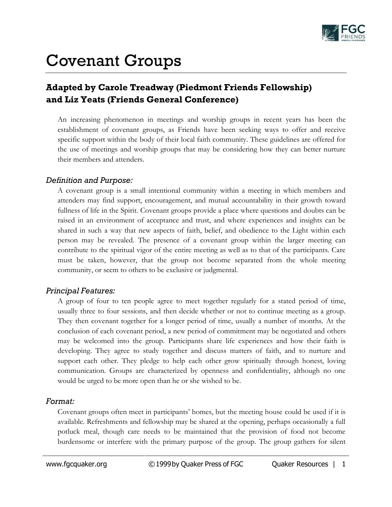

# Covenant Groups

# **Adapted by Carole Treadway (Piedmont Friends Fellowship) and Liz Yeats (Friends General Conference)**

An increasing phenomenon in meetings and worship groups in recent years has been the establishment of covenant groups, as Friends have been seeking ways to offer and receive specific support within the body of their local faith community. These guidelines are offered for the use of meetings and worship groups that may be considering how they can better nurture their members and attenders.

#### *Definition and Purpose:*

A covenant group is a small intentional community within a meeting in which members and attenders may find support, encouragement, and mutual accountability in their growth toward fullness of life in the Spirit. Covenant groups provide a place where questions and doubts can be raised in an environment of acceptance and trust, and where experiences and insights can be shared in such a way that new aspects of faith, belief, and obedience to the Light within each person may be revealed. The presence of a covenant group within the larger meeting can contribute to the spiritual vigor of the entire meeting as well as to that of the participants. Care must be taken, however, that the group not become separated from the whole meeting community, or seem to others to be exclusive or judgmental.

#### *Principal Features:*

A group of four to ten people agree to meet together regularly for a stated period of time, usually three to four sessions, and then decide whether or not to continue meeting as a group. They then covenant together for a longer period of time, usually a number of months. At the conclusion of each covenant period, a new period of commitment may be negotiated and others may be welcomed into the group. Participants share life experiences and how their faith is developing. They agree to study together and discuss matters of faith, and to nurture and support each other. They pledge to help each other grow spiritually through honest, loving communication. Groups are characterized by openness and confidentiality, although no one would be urged to be more open than he or she wished to be.

#### *Format:*

Covenant groups often meet in participants' homes, but the meeting house could be used if it is available. Refreshments and fellowship may be shared at the opening, perhaps occasionally a full potluck meal, though care needs to be maintained that the provision of food not become burdensome or interfere with the primary purpose of the group. The group gathers for silent